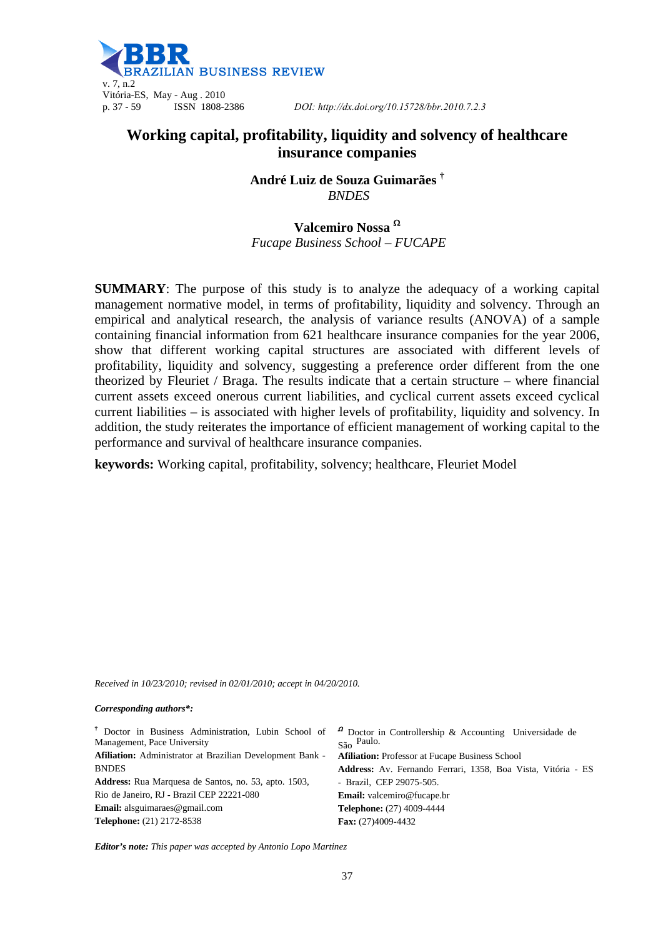

# **Working capital, profitability, liquidity and solvency of healthcare insurance companies**

**André Luiz de Souza Guimarães †**  *BNDES* 

**Valcemiro Nossa**   *Fucape Business School – FUCAPE* 

**SUMMARY**: The purpose of this study is to analyze the adequacy of a working capital management normative model, in terms of profitability, liquidity and solvency. Through an empirical and analytical research, the analysis of variance results (ANOVA) of a sample containing financial information from 621 healthcare insurance companies for the year 2006, show that different working capital structures are associated with different levels of profitability, liquidity and solvency, suggesting a preference order different from the one theorized by Fleuriet / Braga. The results indicate that a certain structure – where financial current assets exceed onerous current liabilities, and cyclical current assets exceed cyclical current liabilities – is associated with higher levels of profitability, liquidity and solvency. In addition, the study reiterates the importance of efficient management of working capital to the performance and survival of healthcare insurance companies.

**keywords:** Working capital, profitability, solvency; healthcare, Fleuriet Model

*Received in 10/23/2010; revised in 02/01/2010; accept in 04/20/2010.* 

#### *Corresponding authors\*:*

|                                                             | <sup>†</sup> Doctor in Business Administration, Lubin School of $\alpha$ Doctor in Controllership & Accounting Universidade de |
|-------------------------------------------------------------|--------------------------------------------------------------------------------------------------------------------------------|
| Management, Pace University                                 | $S\$ {a}o Paulo.                                                                                                               |
| Afiliation: Administrator at Brazilian Development Bank -   | <b>Afiliation:</b> Professor at Fucape Business School                                                                         |
| <b>BNDES</b>                                                | Address: Av. Fernando Ferrari, 1358, Boa Vista, Vitória - ES                                                                   |
| <b>Address:</b> Rua Marquesa de Santos, no. 53, apto. 1503, | - Brazil, CEP 29075-505.                                                                                                       |
| Rio de Janeiro, RJ - Brazil CEP 22221-080                   | <b>Email:</b> valcemiro@fucape.br                                                                                              |
| <b>Email:</b> alsguimaraes@gmail.com                        | Telephone: (27) 4009-4444                                                                                                      |
| <b>Telephone:</b> (21) 2172-8538                            | Fax: $(27)4009-4432$                                                                                                           |

*Editor's note: This paper was accepted by Antonio Lopo Martinez*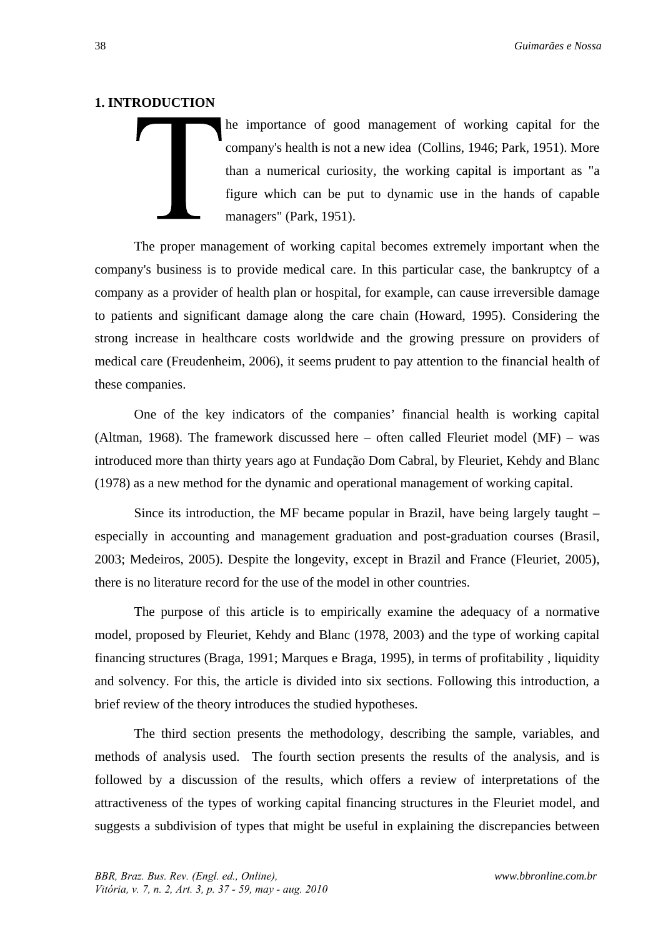#### **1. INTRODUCTION**

he importance of good management of working capital for the company's health is not a new idea (Collins, 1946; Park, 1951). More than a numerical curiosity, the working capital is important as "a figure which can be put to dynamic use in the hands of capable managers" (Park, 1951).

The proper management of working capital becomes extremely important when the company's business is to provide medical care. In this particular case, the bankruptcy of a company as a provider of health plan or hospital, for example, can cause irreversible damage to patients and significant damage along the care chain (Howard, 1995). Considering the strong increase in healthcare costs worldwide and the growing pressure on providers of medical care (Freudenheim, 2006), it seems prudent to pay attention to the financial health of these companies.

One of the key indicators of the companies' financial health is working capital (Altman, 1968). The framework discussed here – often called Fleuriet model (MF) – was introduced more than thirty years ago at Fundação Dom Cabral, by Fleuriet, Kehdy and Blanc (1978) as a new method for the dynamic and operational management of working capital.

Since its introduction, the MF became popular in Brazil, have being largely taught – especially in accounting and management graduation and post-graduation courses (Brasil, 2003; Medeiros, 2005). Despite the longevity, except in Brazil and France (Fleuriet, 2005), there is no literature record for the use of the model in other countries.

The purpose of this article is to empirically examine the adequacy of a normative model, proposed by Fleuriet, Kehdy and Blanc (1978, 2003) and the type of working capital financing structures (Braga, 1991; Marques e Braga, 1995), in terms of profitability , liquidity and solvency. For this, the article is divided into six sections. Following this introduction, a brief review of the theory introduces the studied hypotheses.

The third section presents the methodology, describing the sample, variables, and methods of analysis used. The fourth section presents the results of the analysis, and is followed by a discussion of the results, which offers a review of interpretations of the attractiveness of the types of working capital financing structures in the Fleuriet model, and suggests a subdivision of types that might be useful in explaining the discrepancies between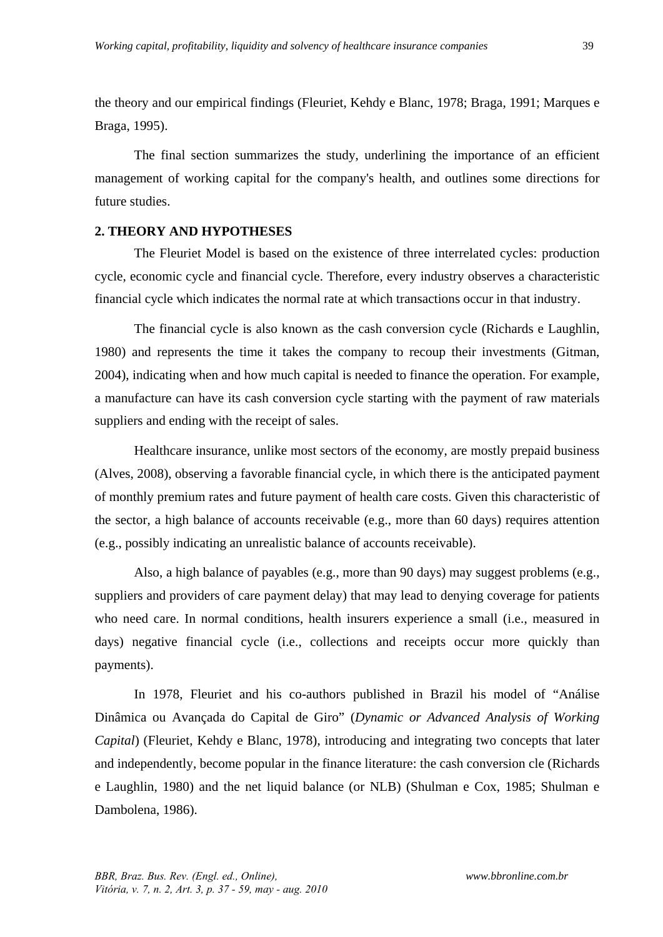the theory and our empirical findings (Fleuriet, Kehdy e Blanc, 1978; Braga, 1991; Marques e Braga, 1995).

The final section summarizes the study, underlining the importance of an efficient management of working capital for the company's health, and outlines some directions for future studies.

# **2. THEORY AND HYPOTHESES**

The Fleuriet Model is based on the existence of three interrelated cycles: production cycle, economic cycle and financial cycle. Therefore, every industry observes a characteristic financial cycle which indicates the normal rate at which transactions occur in that industry.

The financial cycle is also known as the cash conversion cycle (Richards e Laughlin, 1980) and represents the time it takes the company to recoup their investments (Gitman, 2004), indicating when and how much capital is needed to finance the operation. For example, a manufacture can have its cash conversion cycle starting with the payment of raw materials suppliers and ending with the receipt of sales.

Healthcare insurance, unlike most sectors of the economy, are mostly prepaid business (Alves, 2008), observing a favorable financial cycle, in which there is the anticipated payment of monthly premium rates and future payment of health care costs. Given this characteristic of the sector, a high balance of accounts receivable (e.g., more than 60 days) requires attention (e.g., possibly indicating an unrealistic balance of accounts receivable).

Also, a high balance of payables (e.g., more than 90 days) may suggest problems (e.g., suppliers and providers of care payment delay) that may lead to denying coverage for patients who need care. In normal conditions, health insurers experience a small (i.e., measured in days) negative financial cycle (i.e., collections and receipts occur more quickly than payments).

In 1978, Fleuriet and his co-authors published in Brazil his model of "Análise Dinâmica ou Avançada do Capital de Giro" (*Dynamic or Advanced Analysis of Working Capital*) (Fleuriet, Kehdy e Blanc, 1978), introducing and integrating two concepts that later and independently, become popular in the finance literature: the cash conversion cle (Richards e Laughlin, 1980) and the net liquid balance (or NLB) (Shulman e Cox, 1985; Shulman e Dambolena, 1986).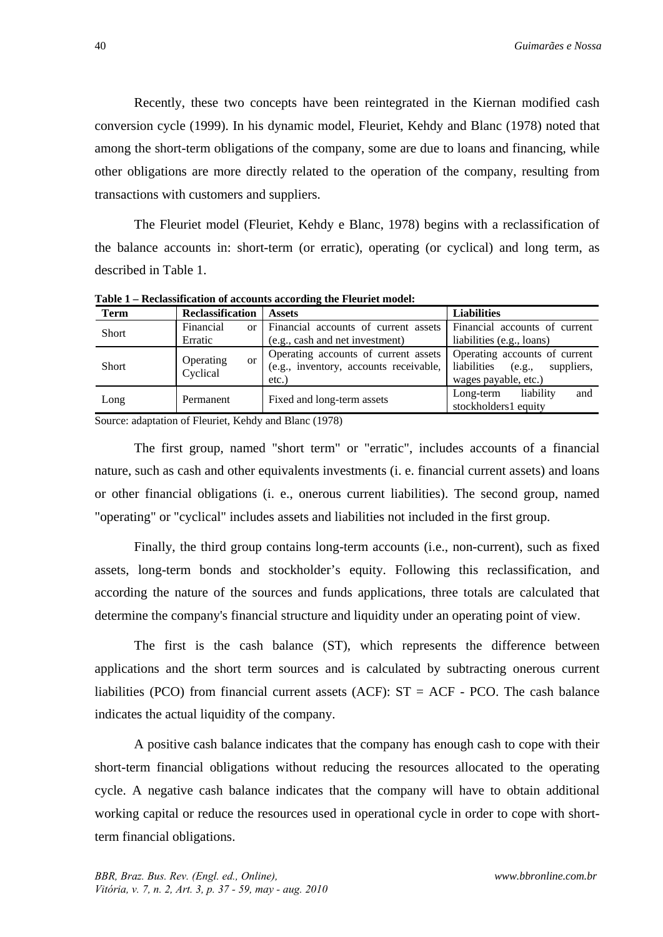Recently, these two concepts have been reintegrated in the Kiernan modified cash conversion cycle (1999). In his dynamic model, Fleuriet, Kehdy and Blanc (1978) noted that among the short-term obligations of the company, some are due to loans and financing, while other obligations are more directly related to the operation of the company, resulting from transactions with customers and suppliers.

The Fleuriet model (Fleuriet, Kehdy e Blanc, 1978) begins with a reclassification of the balance accounts in: short-term (or erratic), operating (or cyclical) and long term, as described in Table 1.

**Term Reclassification Assets Liabilities** Short Financial or Erratic Financial accounts of current assets (e.g., cash and net investment) Financial accounts of current liabilities (e.g., loans) Short Operating or Cyclical Operating accounts of current assets (e.g., inventory, accounts receivable, etc.) Operating accounts of current liabilities (e.g., suppliers, wages payable, etc.) Long Permanent Fixed and long-term assets Long-term liability and stockholders1 equity

**Table 1 – Reclassification of accounts according the Fleuriet model:** 

Source: adaptation of Fleuriet, Kehdy and Blanc (1978)

The first group, named "short term" or "erratic", includes accounts of a financial nature, such as cash and other equivalents investments (i. e. financial current assets) and loans or other financial obligations (i. e., onerous current liabilities). The second group, named "operating" or "cyclical" includes assets and liabilities not included in the first group.

Finally, the third group contains long-term accounts (i.e., non-current), such as fixed assets, long-term bonds and stockholder's equity. Following this reclassification, and according the nature of the sources and funds applications, three totals are calculated that determine the company's financial structure and liquidity under an operating point of view.

The first is the cash balance (ST), which represents the difference between applications and the short term sources and is calculated by subtracting onerous current liabilities (PCO) from financial current assets (ACF):  $ST = ACF - PCO$ . The cash balance indicates the actual liquidity of the company.

A positive cash balance indicates that the company has enough cash to cope with their short-term financial obligations without reducing the resources allocated to the operating cycle. A negative cash balance indicates that the company will have to obtain additional working capital or reduce the resources used in operational cycle in order to cope with shortterm financial obligations.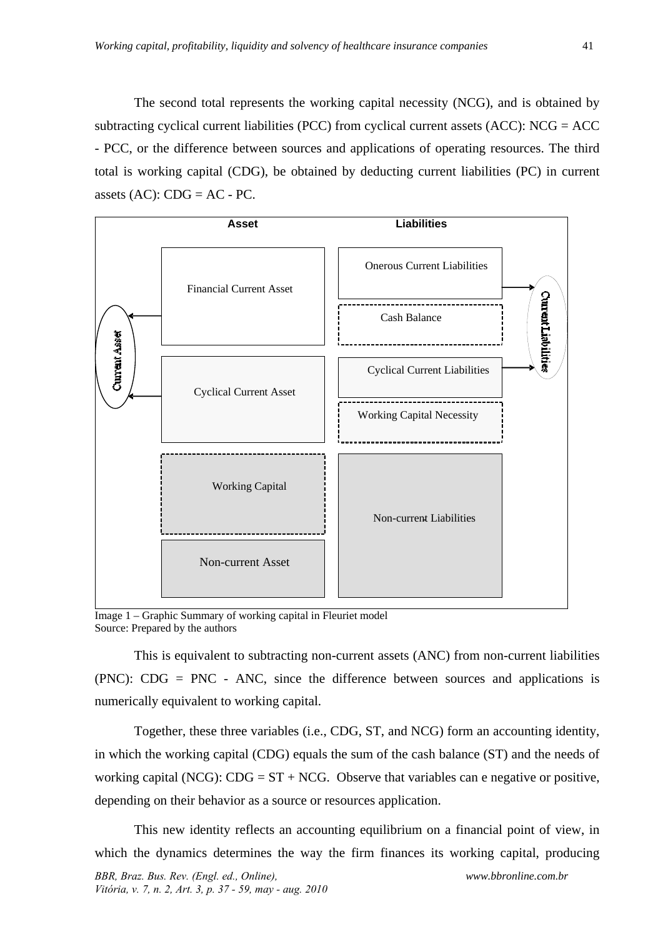The second total represents the working capital necessity (NCG), and is obtained by subtracting cyclical current liabilities (PCC) from cyclical current assets (ACC): NCG = ACC - PCC, or the difference between sources and applications of operating resources. The third total is working capital (CDG), be obtained by deducting current liabilities (PC) in current assets  $(AC)$ :  $CDG = AC - PC$ .



Image 1 – Graphic Summary of working capital in Fleuriet model Source: Prepared by the authors

This is equivalent to subtracting non-current assets (ANC) from non-current liabilities (PNC): CDG = PNC - ANC, since the difference between sources and applications is numerically equivalent to working capital.

Together, these three variables (i.e., CDG, ST, and NCG) form an accounting identity, in which the working capital (CDG) equals the sum of the cash balance (ST) and the needs of working capital (NCG):  $CDG = ST + NCG$ . Observe that variables can e negative or positive, depending on their behavior as a source or resources application.

This new identity reflects an accounting equilibrium on a financial point of view, in which the dynamics determines the way the firm finances its working capital, producing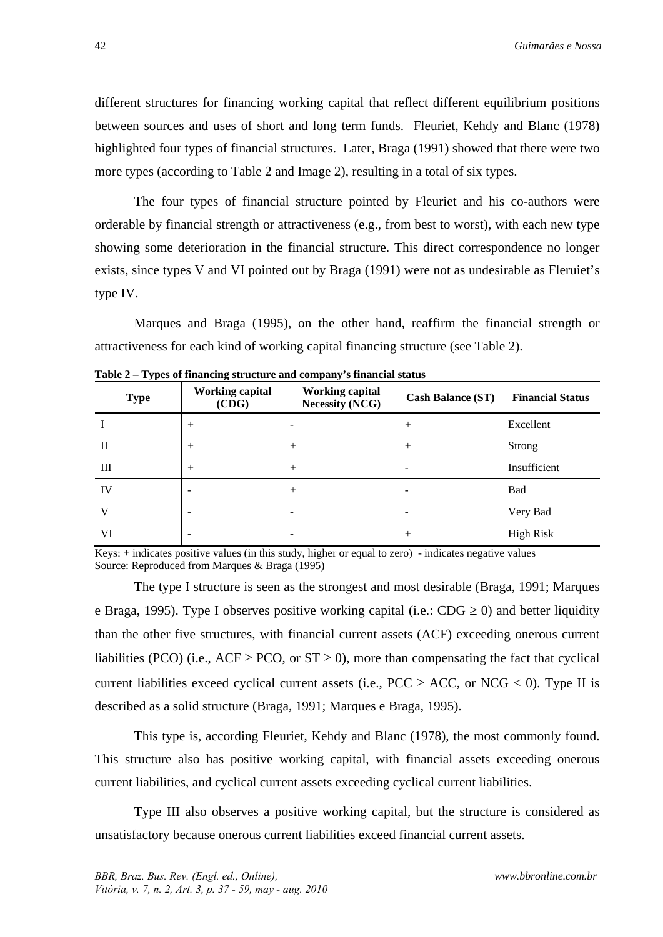different structures for financing working capital that reflect different equilibrium positions between sources and uses of short and long term funds. Fleuriet, Kehdy and Blanc (1978) highlighted four types of financial structures. Later, Braga (1991) showed that there were two more types (according to Table 2 and Image 2), resulting in a total of six types.

The four types of financial structure pointed by Fleuriet and his co-authors were orderable by financial strength or attractiveness (e.g., from best to worst), with each new type showing some deterioration in the financial structure. This direct correspondence no longer exists, since types V and VI pointed out by Braga (1991) were not as undesirable as Fleruiet's type IV.

Marques and Braga (1995), on the other hand, reaffirm the financial strength or attractiveness for each kind of working capital financing structure (see Table 2).

| <b>Type</b> | <b>Working capital</b><br>(CDG) | <b>Working capital</b><br><b>Necessity (NCG)</b> | <b>Cash Balance (ST)</b> | <b>Financial Status</b> |
|-------------|---------------------------------|--------------------------------------------------|--------------------------|-------------------------|
|             | $^{+}$                          |                                                  | $+$                      | Excellent               |
| П           | $^{+}$                          | $^{+}$                                           | $^{+}$                   | Strong                  |
| Ш           | $^{+}$                          | $^{+}$                                           | ۰                        | Insufficient            |
| IV          |                                 | $^{+}$                                           |                          | Bad                     |
| V           | -                               | -                                                | ٠                        | Very Bad                |
| VI          | -                               | $\overline{\phantom{0}}$                         | $+$                      | <b>High Risk</b>        |

**Table 2 – Types of financing structure and company's financial status** 

Keys: + indicates positive values (in this study, higher or equal to zero) - indicates negative values Source: Reproduced from Marques & Braga (1995)

The type I structure is seen as the strongest and most desirable (Braga, 1991; Marques e Braga, 1995). Type I observes positive working capital (i.e.: CDG  $\geq$  0) and better liquidity than the other five structures, with financial current assets (ACF) exceeding onerous current liabilities (PCO) (i.e., ACF  $\geq$  PCO, or ST  $\geq$  0), more than compensating the fact that cyclical current liabilities exceed cyclical current assets (i.e.,  $PCC \ge ACC$ , or  $NCG < 0$ ). Type II is described as a solid structure (Braga, 1991; Marques e Braga, 1995).

This type is, according Fleuriet, Kehdy and Blanc (1978), the most commonly found. This structure also has positive working capital, with financial assets exceeding onerous current liabilities, and cyclical current assets exceeding cyclical current liabilities.

Type III also observes a positive working capital, but the structure is considered as unsatisfactory because onerous current liabilities exceed financial current assets.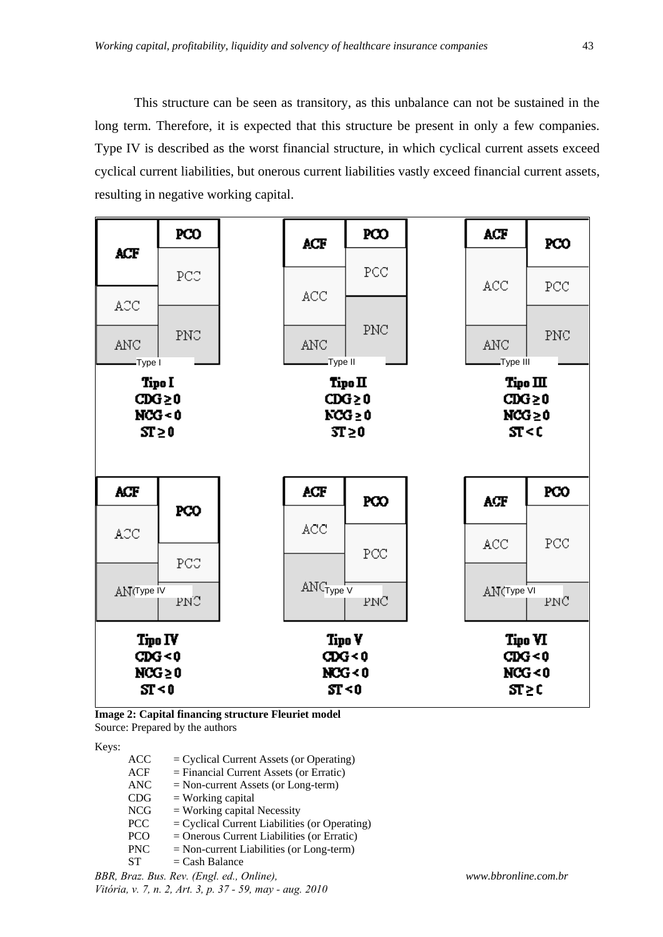This structure can be seen as transitory, as this unbalance can not be sustained in the long term. Therefore, it is expected that this structure be present in only a few companies. Type IV is described as the worst financial structure, in which cyclical current assets exceed cyclical current liabilities, but onerous current liabilities vastly exceed financial current assets, resulting in negative working capital.



**Image 2: Capital financing structure Fleuriet model**  Source: Prepared by the authors

Keys:

| <b>ACC</b> | $=$ Cyclical Current Assets (or Operating)      |
|------------|-------------------------------------------------|
| <b>ACF</b> | $=$ Financial Current Assets (or Erratic)       |
| <b>ANC</b> | $=$ Non-current Assets (or Long-term)           |
| CDG        | $=$ Working capital                             |
| <b>NCG</b> | $=$ Working capital Necessity                   |
| <b>PCC</b> | $=$ Cyclical Current Liabilities (or Operating) |
| <b>PCO</b> | $=$ Onerous Current Liabilities (or Erratic)    |
| <b>PNC</b> | $=$ Non-current Liabilities (or Long-term)      |
| $\sim$     | $\sim$ 1 $\sim$ 1                               |

 $ST = Cash Balance$ 

*BBR, Braz. Bus. Rev. (Engl. ed., Online), Vitória, v. 7, n. 2, Art. 3, p. 37 - 59, may - aug. 2010*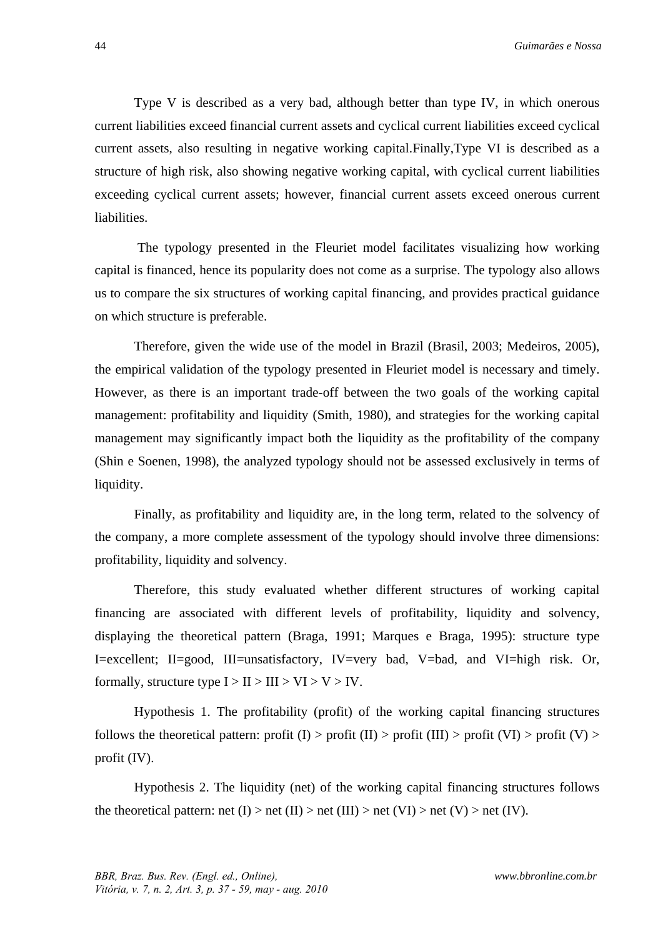Type V is described as a very bad, although better than type IV, in which onerous current liabilities exceed financial current assets and cyclical current liabilities exceed cyclical current assets, also resulting in negative working capital.Finally,Type VI is described as a structure of high risk, also showing negative working capital, with cyclical current liabilities exceeding cyclical current assets; however, financial current assets exceed onerous current liabilities.

 The typology presented in the Fleuriet model facilitates visualizing how working capital is financed, hence its popularity does not come as a surprise. The typology also allows us to compare the six structures of working capital financing, and provides practical guidance on which structure is preferable.

Therefore, given the wide use of the model in Brazil (Brasil, 2003; Medeiros, 2005), the empirical validation of the typology presented in Fleuriet model is necessary and timely. However, as there is an important trade-off between the two goals of the working capital management: profitability and liquidity (Smith, 1980), and strategies for the working capital management may significantly impact both the liquidity as the profitability of the company (Shin e Soenen, 1998), the analyzed typology should not be assessed exclusively in terms of liquidity.

Finally, as profitability and liquidity are, in the long term, related to the solvency of the company, a more complete assessment of the typology should involve three dimensions: profitability, liquidity and solvency.

Therefore, this study evaluated whether different structures of working capital financing are associated with different levels of profitability, liquidity and solvency, displaying the theoretical pattern (Braga, 1991; Marques e Braga, 1995): structure type I=excellent; II=good, III=unsatisfactory, IV=very bad, V=bad, and VI=high risk. Or, formally, structure type  $I > II > III > VI > V > IV$ .

Hypothesis 1. The profitability (profit) of the working capital financing structures follows the theoretical pattern: profit (I) > profit (II) > profit (III) > profit (VI) > profit (V) > profit (IV).

Hypothesis 2. The liquidity (net) of the working capital financing structures follows the theoretical pattern: net  $(I)$  > net  $(II)$  > net  $(III)$  > net  $(V)$  > net  $(V)$ .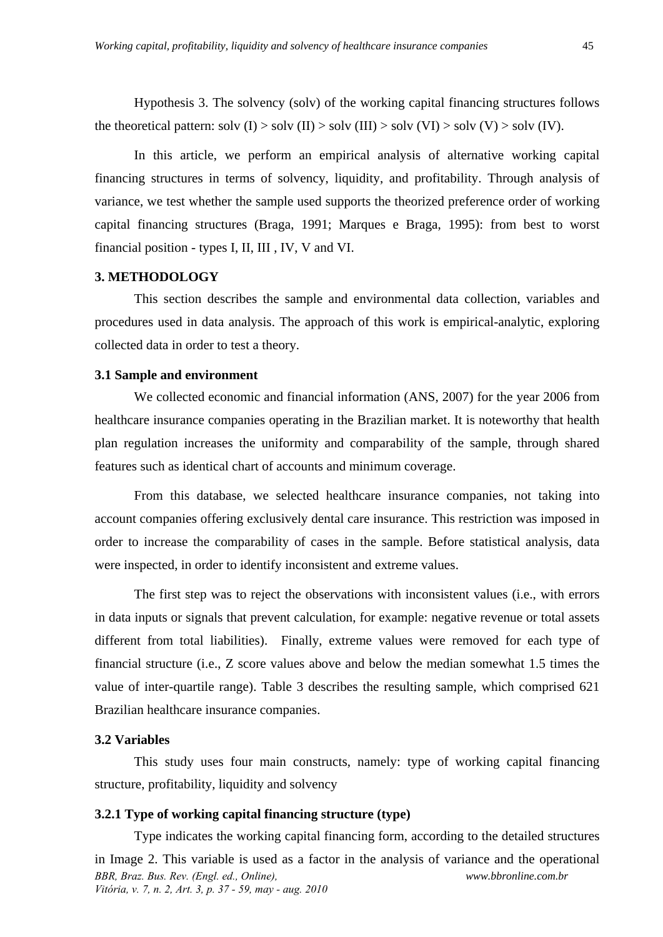Hypothesis 3. The solvency (solv) of the working capital financing structures follows the theoretical pattern: solv (I) > solv (II) > solv (III) > solv (VI) > solv (V) > solv (IV).

In this article, we perform an empirical analysis of alternative working capital financing structures in terms of solvency, liquidity, and profitability. Through analysis of variance, we test whether the sample used supports the theorized preference order of working capital financing structures (Braga, 1991; Marques e Braga, 1995): from best to worst financial position - types I, II, III , IV, V and VI.

# **3. METHODOLOGY**

This section describes the sample and environmental data collection, variables and procedures used in data analysis. The approach of this work is empirical-analytic, exploring collected data in order to test a theory.

### **3.1 Sample and environment**

We collected economic and financial information (ANS, 2007) for the year 2006 from healthcare insurance companies operating in the Brazilian market. It is noteworthy that health plan regulation increases the uniformity and comparability of the sample, through shared features such as identical chart of accounts and minimum coverage.

From this database, we selected healthcare insurance companies, not taking into account companies offering exclusively dental care insurance. This restriction was imposed in order to increase the comparability of cases in the sample. Before statistical analysis, data were inspected, in order to identify inconsistent and extreme values.

The first step was to reject the observations with inconsistent values (i.e., with errors in data inputs or signals that prevent calculation, for example: negative revenue or total assets different from total liabilities). Finally, extreme values were removed for each type of financial structure (i.e., Z score values above and below the median somewhat 1.5 times the value of inter-quartile range). Table 3 describes the resulting sample, which comprised 621 Brazilian healthcare insurance companies.

# **3.2 Variables**

This study uses four main constructs, namely: type of working capital financing structure, profitability, liquidity and solvency

# **3.2.1 Type of working capital financing structure (type)**

*BBR, Braz. Bus. Rev. (Engl. ed., Online), Vitória, v. 7, n. 2, Art. 3, p. 37 - 59, may - aug. 2010 www.bbronline.com.br*  Type indicates the working capital financing form, according to the detailed structures in Image 2. This variable is used as a factor in the analysis of variance and the operational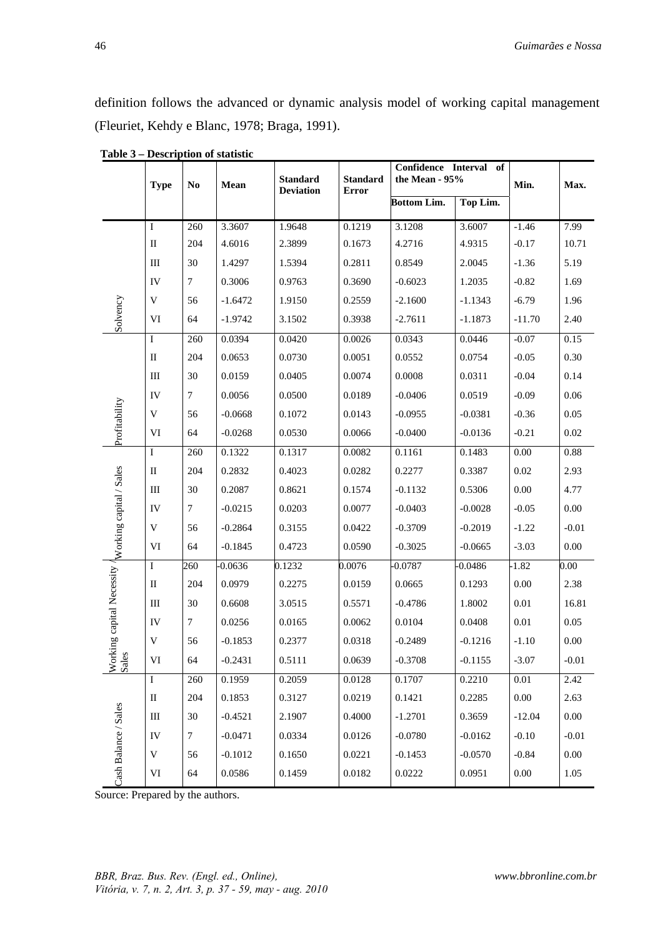definition follows the advanced or dynamic analysis model of working capital management (Fleuriet, Kehdy e Blanc, 1978; Braga, 1991).

|                                                    | <b>Type</b>  | N <sub>0</sub> | <b>Standard</b><br>Mean<br><b>Deviation</b> |        | <b>Standard</b> | Confidence Interval of<br>the Mean - 95%<br>Error |           |          | Max.     |
|----------------------------------------------------|--------------|----------------|---------------------------------------------|--------|-----------------|---------------------------------------------------|-----------|----------|----------|
|                                                    |              |                |                                             |        |                 | <b>Bottom Lim.</b>                                | Top Lim.  |          |          |
|                                                    | Ι            | 260            | 3.3607                                      | 1.9648 | 0.1219          | 3.1208                                            | 3.6007    | $-1.46$  | 7.99     |
|                                                    | $\mathbf{I}$ | 204            | 4.6016                                      | 2.3899 | 0.1673          | 4.2716                                            | 4.9315    | $-0.17$  | 10.71    |
|                                                    | Ш            | 30             | 1.4297                                      | 1.5394 | 0.2811          | 0.8549                                            | 2.0045    | $-1.36$  | 5.19     |
|                                                    | IV           | 7              | 0.3006                                      | 0.9763 | 0.3690          | $-0.6023$                                         | 1.2035    | $-0.82$  | 1.69     |
|                                                    | V            | 56             | $-1.6472$                                   | 1.9150 | 0.2559          | $-2.1600$                                         | $-1.1343$ | $-6.79$  | 1.96     |
| Solvency                                           | VI           | 64             | $-1.9742$                                   | 3.1502 | 0.3938          | $-2.7611$                                         | $-1.1873$ | $-11.70$ | 2.40     |
|                                                    | $\mathbf I$  | 260            | 0.0394                                      | 0.0420 | 0.0026          | 0.0343                                            | 0.0446    | $-0.07$  | 0.15     |
|                                                    | $\mathbf{I}$ | 204            | 0.0653                                      | 0.0730 | 0.0051          | 0.0552                                            | 0.0754    | $-0.05$  | 0.30     |
|                                                    | Ш            | 30             | 0.0159                                      | 0.0405 | 0.0074          | 0.0008                                            | 0.0311    | $-0.04$  | 0.14     |
|                                                    | IV           | $\overline{7}$ | 0.0056                                      | 0.0500 | 0.0189          | $-0.0406$                                         | 0.0519    | $-0.09$  | 0.06     |
| Profitability                                      | V            | 56             | $-0.0668$                                   | 0.1072 | 0.0143          | $-0.0955$                                         | $-0.0381$ | $-0.36$  | 0.05     |
|                                                    | VI           | 64             | $-0.0268$                                   | 0.0530 | 0.0066          | $-0.0400$                                         | $-0.0136$ | $-0.21$  | 0.02     |
|                                                    | Ι            | 260            | 0.1322                                      | 0.1317 | 0.0082          | 0.1161                                            | 0.1483    | $0.00\,$ | 0.88     |
|                                                    | $\mathbf{I}$ | 204            | 0.2832                                      | 0.4023 | 0.0282          | 0.2277                                            | 0.3387    | 0.02     | 2.93     |
|                                                    | Ш            | 30             | 0.2087                                      | 0.8621 | 0.1574          | $-0.1132$                                         | 0.5306    | 0.00     | 4.77     |
|                                                    | IV           | $\tau$         | $-0.0215$                                   | 0.0203 | 0.0077          | $-0.0403$                                         | $-0.0028$ | $-0.05$  | 0.00     |
|                                                    | V            | 56             | $-0.2864$                                   | 0.3155 | 0.0422          | $-0.3709$                                         | $-0.2019$ | $-1.22$  | $-0.01$  |
| orking capital Necessity / Working capital / Sales | VI           | 64             | $-0.1845$                                   | 0.4723 | 0.0590          | $-0.3025$                                         | $-0.0665$ | $-3.03$  | 0.00     |
|                                                    | $\bf{I}$     | 260            | $-0.0636$                                   | 0.1232 | 0.0076          | $-0.0787$                                         | $-0.0486$ | $-1.82$  | $0.00\,$ |
|                                                    | $\mathbf{I}$ | 204            | 0.0979                                      | 0.2275 | 0.0159          | 0.0665                                            | 0.1293    | 0.00     | 2.38     |
|                                                    | Ш            | 30             | 0.6608                                      | 3.0515 | 0.5571          | $-0.4786$                                         | 1.8002    | 0.01     | 16.81    |
|                                                    | IV           | $\overline{7}$ | 0.0256                                      | 0.0165 | 0.0062          | 0.0104                                            | 0.0408    | 0.01     | 0.05     |
|                                                    | V            | 56             | $-0.1853$                                   | 0.2377 | 0.0318          | $-0.2489$                                         | $-0.1216$ | $-1.10$  | $0.00\,$ |
| les                                                | VI           | 64             | $-0.2431$                                   | 0.5111 | 0.0639          | $-0.3708$                                         | $-0.1155$ | $-3.07$  | $-0.01$  |
|                                                    | $\mathbf{I}$ | 260            | 0.1959                                      | 0.2059 | 0.0128          | 0.1707                                            | 0.2210    | 0.01     | 2.42     |
|                                                    | $\rm _{II}$  | 204            | 0.1853                                      | 0.3127 | 0.0219          | 0.1421                                            | 0.2285    | $0.00\,$ | 2.63     |
|                                                    | Ш            | $30\,$         | $-0.4521$                                   | 2.1907 | 0.4000          | $-1.2701$                                         | 0.3659    | $-12.04$ | 0.00     |
|                                                    | IV           | $\tau$         | $-0.0471$                                   | 0.0334 | 0.0126          | $-0.0780$                                         | $-0.0162$ | $-0.10$  | $-0.01$  |
|                                                    | V            | 56             | $-0.1012$                                   | 0.1650 | 0.0221          | $-0.1453$                                         | $-0.0570$ | $-0.84$  | $0.00\,$ |
| Cash Balance / Sales                               | VI           | 64             | 0.0586                                      | 0.1459 | 0.0182          | 0.0222                                            | 0.0951    | 0.00     | 1.05     |

 **Table 3 – Description of statistic** 

Source: Prepared by the authors.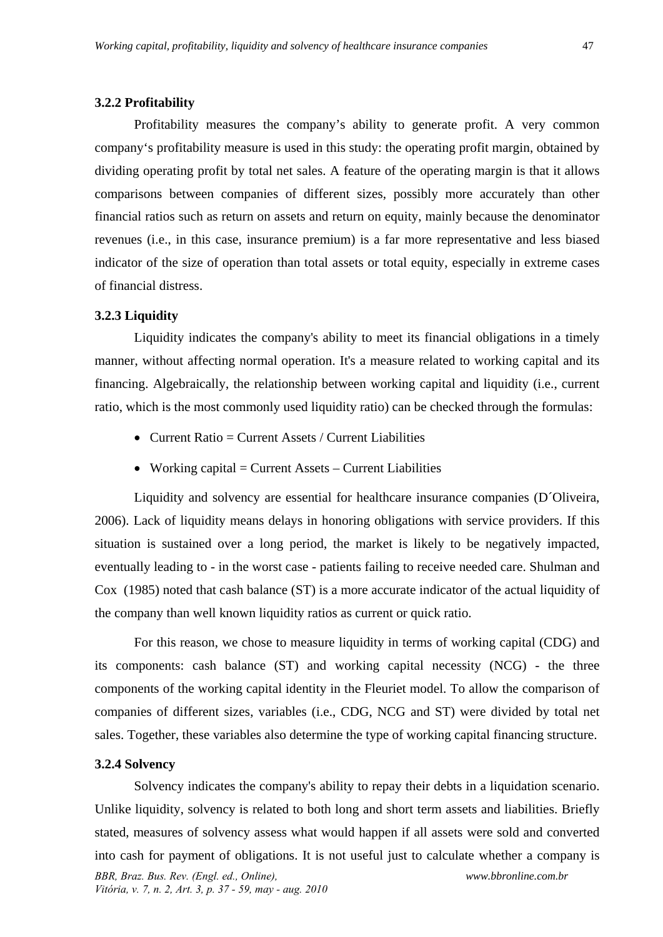#### **3.2.2 Profitability**

Profitability measures the company's ability to generate profit. A very common company's profitability measure is used in this study: the operating profit margin, obtained by dividing operating profit by total net sales. A feature of the operating margin is that it allows comparisons between companies of different sizes, possibly more accurately than other financial ratios such as return on assets and return on equity, mainly because the denominator revenues (i.e., in this case, insurance premium) is a far more representative and less biased indicator of the size of operation than total assets or total equity, especially in extreme cases of financial distress.

### **3.2.3 Liquidity**

Liquidity indicates the company's ability to meet its financial obligations in a timely manner, without affecting normal operation. It's a measure related to working capital and its financing. Algebraically, the relationship between working capital and liquidity (i.e., current ratio, which is the most commonly used liquidity ratio) can be checked through the formulas:

- Current Ratio  $=$  Current Assets / Current Liabilities
- Working capital  $=$  Current Assets  $-$  Current Liabilities

Liquidity and solvency are essential for healthcare insurance companies (D´Oliveira, 2006). Lack of liquidity means delays in honoring obligations with service providers. If this situation is sustained over a long period, the market is likely to be negatively impacted, eventually leading to - in the worst case - patients failing to receive needed care. Shulman and Cox (1985) noted that cash balance (ST) is a more accurate indicator of the actual liquidity of the company than well known liquidity ratios as current or quick ratio.

For this reason, we chose to measure liquidity in terms of working capital (CDG) and its components: cash balance (ST) and working capital necessity (NCG) - the three components of the working capital identity in the Fleuriet model. To allow the comparison of companies of different sizes, variables (i.e., CDG, NCG and ST) were divided by total net sales. Together, these variables also determine the type of working capital financing structure.

#### **3.2.4 Solvency**

*BBR, Braz. Bus. Rev. (Engl. ed., Online), Vitória, v. 7, n. 2, Art. 3, p. 37 - 59, may - aug. 2010 www.bbronline.com.br*  Solvency indicates the company's ability to repay their debts in a liquidation scenario. Unlike liquidity, solvency is related to both long and short term assets and liabilities. Briefly stated, measures of solvency assess what would happen if all assets were sold and converted into cash for payment of obligations. It is not useful just to calculate whether a company is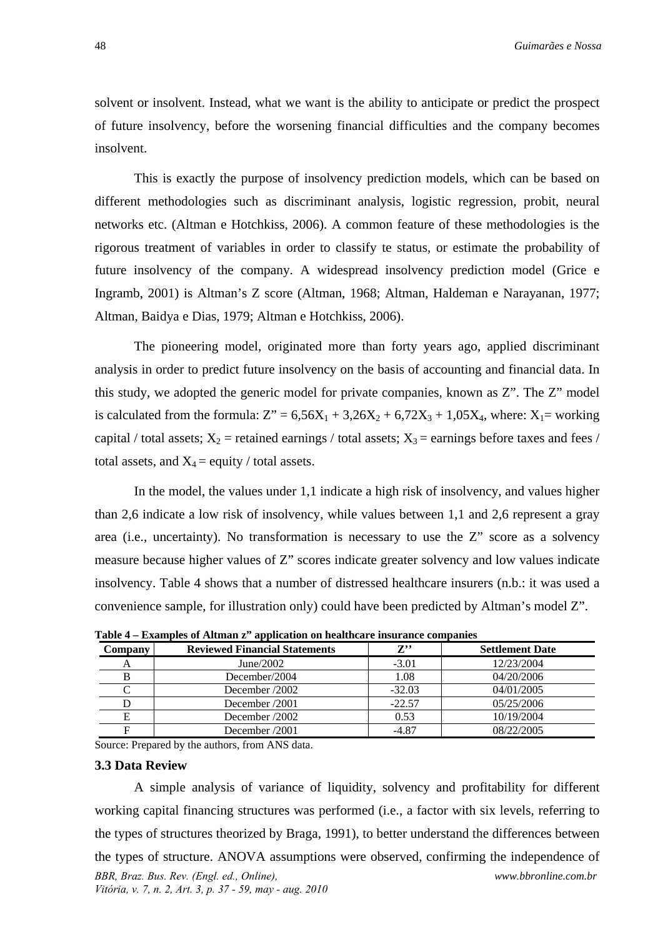solvent or insolvent. Instead, what we want is the ability to anticipate or predict the prospect of future insolvency, before the worsening financial difficulties and the company becomes insolvent.

This is exactly the purpose of insolvency prediction models, which can be based on different methodologies such as discriminant analysis, logistic regression, probit, neural networks etc. (Altman e Hotchkiss, 2006). A common feature of these methodologies is the rigorous treatment of variables in order to classify te status, or estimate the probability of future insolvency of the company. A widespread insolvency prediction model (Grice e Ingramb, 2001) is Altman's Z score (Altman, 1968; Altman, Haldeman e Narayanan, 1977; Altman, Baidya e Dias, 1979; Altman e Hotchkiss, 2006).

The pioneering model, originated more than forty years ago, applied discriminant analysis in order to predict future insolvency on the basis of accounting and financial data. In this study, we adopted the generic model for private companies, known as Z". The Z" model is calculated from the formula:  $Z'' = 6,56X_1 + 3,26X_2 + 6,72X_3 + 1,05X_4$ , where:  $X_1 =$  working capital / total assets;  $X_2$  = retained earnings / total assets;  $X_3$  = earnings before taxes and fees / total assets, and  $X_4$  = equity / total assets.

In the model, the values under 1,1 indicate a high risk of insolvency, and values higher than 2,6 indicate a low risk of insolvency, while values between 1,1 and 2,6 represent a gray area (i.e., uncertainty). No transformation is necessary to use the Z" score as a solvency measure because higher values of Z" scores indicate greater solvency and low values indicate insolvency. Table 4 shows that a number of distressed healthcare insurers (n.b.: it was used a convenience sample, for illustration only) could have been predicted by Altman's model Z".

| <b>Company</b> | <b>Reviewed Financial Statements</b> | $\mathbf{Z}^{,\bullet}$ | <b>Settlement Date</b> |
|----------------|--------------------------------------|-------------------------|------------------------|
|                | June/2002                            | $-3.01$                 | 12/23/2004             |
|                | December/2004                        | 1.08                    | 04/20/2006             |
|                | December /2002                       | $-32.03$                | 04/01/2005             |
|                | December /2001                       | $-22.57$                | 05/25/2006             |
| Е              | December /2002                       | 0.53                    | 10/19/2004             |
|                | December /2001                       | $-4.87$                 | 08/22/2005             |

**Table 4 – Examples of Altman z" application on healthcare insurance companies** 

Source: Prepared by the authors, from ANS data.

#### **3.3 Data Review**

*BBR, Braz. Bus. Rev. (Engl. ed., Online), Vitória, v. 7, n. 2, Art. 3, p. 37 - 59, may - aug. 2010 www.bbronline.com.br*  A simple analysis of variance of liquidity, solvency and profitability for different working capital financing structures was performed (i.e., a factor with six levels, referring to the types of structures theorized by Braga, 1991), to better understand the differences between the types of structure. ANOVA assumptions were observed, confirming the independence of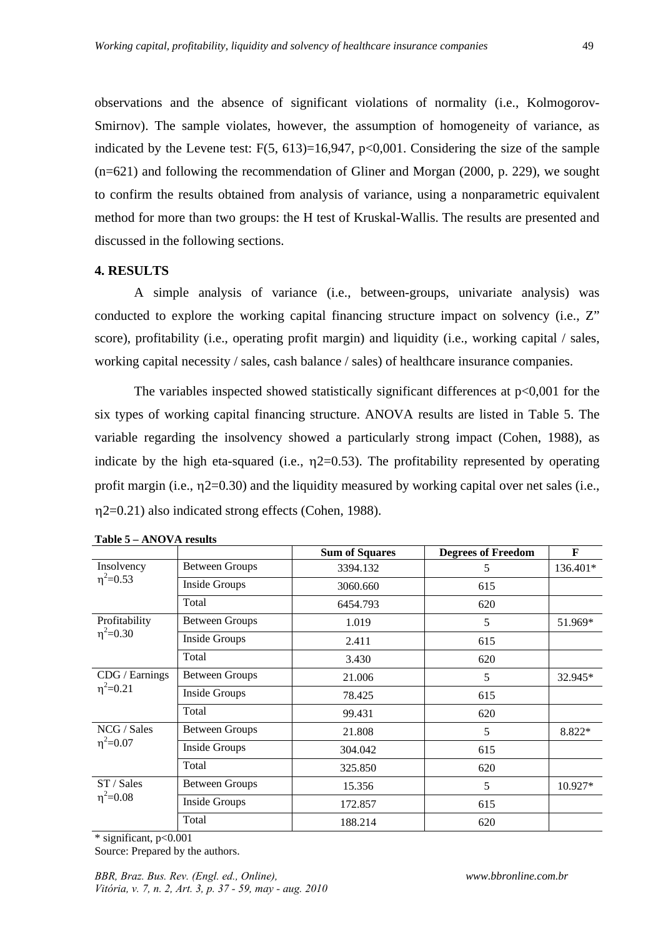observations and the absence of significant violations of normality (i.e., Kolmogorov-Smirnov). The sample violates, however, the assumption of homogeneity of variance, as indicated by the Levene test:  $F(5, 613)=16,947, p<0,001$ . Considering the size of the sample (n=621) and following the recommendation of Gliner and Morgan (2000, p. 229), we sought to confirm the results obtained from analysis of variance, using a nonparametric equivalent method for more than two groups: the H test of Kruskal-Wallis. The results are presented and discussed in the following sections.

# **4. RESULTS**

A simple analysis of variance (i.e., between-groups, univariate analysis) was conducted to explore the working capital financing structure impact on solvency (i.e., Z" score), profitability (i.e., operating profit margin) and liquidity (i.e., working capital / sales, working capital necessity / sales, cash balance / sales) of healthcare insurance companies.

The variables inspected showed statistically significant differences at  $p<0,001$  for the six types of working capital financing structure. ANOVA results are listed in Table 5. The variable regarding the insolvency showed a particularly strong impact (Cohen, 1988), as indicate by the high eta-squared (i.e.,  $\eta$ 2=0.53). The profitability represented by operating profit margin (i.e.,  $\eta$ 2=0.30) and the liquidity measured by working capital over net sales (i.e., 2=0.21) also indicated strong effects (Cohen, 1988).

|                 |                       | <b>Sum of Squares</b> | <b>Degrees of Freedom</b> | F         |
|-----------------|-----------------------|-----------------------|---------------------------|-----------|
| Insolvency      | <b>Between Groups</b> | 3394.132              | 5                         | 136.401*  |
| $\eta^2 = 0.53$ | Inside Groups         | 3060.660              | 615                       |           |
|                 | Total                 | 6454.793              | 620                       |           |
| Profitability   | <b>Between Groups</b> | 1.019                 | 5                         | 51.969*   |
| $\eta^2 = 0.30$ | <b>Inside Groups</b>  | 2.411                 | 615                       |           |
|                 | Total                 | 3.430                 | 620                       |           |
| CDG / Earnings  | <b>Between Groups</b> | 21.006                | 5                         | 32.945*   |
| $\eta^2 = 0.21$ | <b>Inside Groups</b>  | 78.425                | 615                       |           |
|                 | Total                 | 99.431                | 620                       |           |
| NCG / Sales     | <b>Between Groups</b> | 21.808                | 5                         | 8.822*    |
| $\eta^2 = 0.07$ | <b>Inside Groups</b>  | 304.042               | 615                       |           |
|                 | Total                 | 325.850               | 620                       |           |
| ST / Sales      | <b>Between Groups</b> | 15.356                | 5                         | $10.927*$ |
| $\eta^2 = 0.08$ | <b>Inside Groups</b>  | 172.857               | 615                       |           |
|                 | Total                 | 188.214               | 620                       |           |

**Table 5 – ANOVA results** 

\* significant, p<0.001

Source: Prepared by the authors.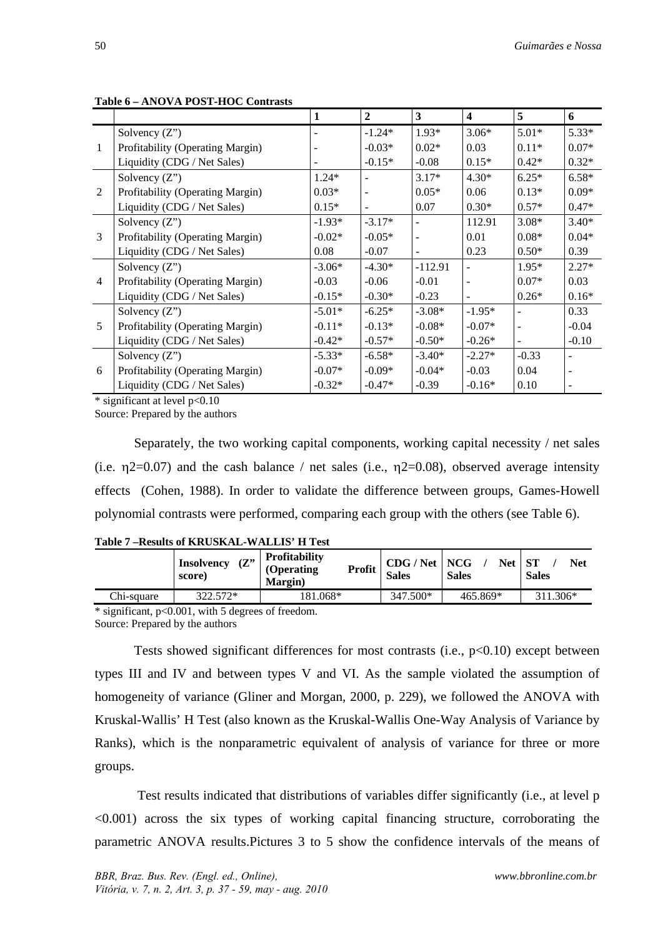|                |                                  |          | $\boldsymbol{2}$ | 3                            | $\overline{\mathbf{4}}$ | 5       | 6       |
|----------------|----------------------------------|----------|------------------|------------------------------|-------------------------|---------|---------|
|                | Solvency $(Z^{\prime})$          |          | $-1.24*$         | $1.93*$                      | $3.06*$                 | $5.01*$ | $5.33*$ |
| 1              | Profitability (Operating Margin) |          | $-0.03*$         | $0.02*$                      | 0.03                    | $0.11*$ | $0.07*$ |
|                | Liquidity (CDG / Net Sales)      |          | $-0.15*$         | $-0.08$                      | $0.15*$                 | $0.42*$ | $0.32*$ |
|                | Solvency $(Z^{\prime\prime})$    | $1.24*$  |                  | $3.17*$                      | $4.30*$                 | $6.25*$ | $6.58*$ |
| 2              | Profitability (Operating Margin) | $0.03*$  |                  | $0.05*$                      | 0.06                    | $0.13*$ | $0.09*$ |
|                | Liquidity (CDG / Net Sales)      | $0.15*$  | -                | 0.07                         | $0.30*$                 | $0.57*$ | $0.47*$ |
|                | Solvency $(Z^{\prime\prime})$    | $-1.93*$ | $-3.17*$         |                              | 112.91                  | $3.08*$ | $3.40*$ |
| 3              | Profitability (Operating Margin) | $-0.02*$ | $-0.05*$         | $\qquad \qquad \blacksquare$ | 0.01                    | $0.08*$ | $0.04*$ |
|                | Liquidity (CDG / Net Sales)      | 0.08     | $-0.07$          |                              | 0.23                    | $0.50*$ | 0.39    |
|                | Solvency $(Z^{\prime\prime})$    | $-3.06*$ | $-4.30*$         | $-112.91$                    |                         | $1.95*$ | $2.27*$ |
| $\overline{4}$ | Profitability (Operating Margin) | $-0.03$  | $-0.06$          | $-0.01$                      |                         | $0.07*$ | 0.03    |
|                | Liquidity (CDG / Net Sales)      | $-0.15*$ | $-0.30*$         | $-0.23$                      |                         | $0.26*$ | $0.16*$ |
|                | Solvency $(Z^{\prime\prime})$    | $-5.01*$ | $-6.25*$         | $-3.08*$                     | $-1.95*$                |         | 0.33    |
| 5              | Profitability (Operating Margin) | $-0.11*$ | $-0.13*$         | $-0.08*$                     | $-0.07*$                |         | $-0.04$ |
|                | Liquidity (CDG / Net Sales)      | $-0.42*$ | $-0.57*$         | $-0.50*$                     | $-0.26*$                |         | $-0.10$ |
|                | Solvency $(Z^{\prime\prime})$    | $-5.33*$ | $-6.58*$         | $-3.40*$                     | $-2.27*$                | $-0.33$ |         |
| 6              | Profitability (Operating Margin) | $-0.07*$ | $-0.09*$         | $-0.04*$                     | $-0.03$                 | 0.04    |         |

**Table 6 – ANOVA POST-HOC Contrasts** 

\* significant at level p<0.10

Source: Prepared by the authors

Separately, the two working capital components, working capital necessity / net sales (i.e.  $\eta$ 2=0.07) and the cash balance / net sales (i.e.,  $\eta$ 2=0.08), observed average intensity effects (Cohen, 1988). In order to validate the difference between groups, Games-Howell polynomial contrasts were performed, comparing each group with the others (see Table 6).

Liquidity (CDG / Net Sales)  $-0.32^*$   $-0.47^*$   $-0.39$   $-0.16^*$  0.10

**Table 7 –Results of KRUSKAL-WALLIS' H Test** 

|            | (Z''<br><b>Insolvency</b><br>score) | <b>Profitability</b><br>Profit<br>(Operating)<br><b>Margin</b> ) | CDG / Net   NCG<br><b>Sales</b> | <b>Net</b><br><b>Sales</b> | -ST<br>Net<br><b>Sales</b> |
|------------|-------------------------------------|------------------------------------------------------------------|---------------------------------|----------------------------|----------------------------|
| Chi-sauare | 322.572*                            | 181.068*                                                         | 347.500*                        | 465.869*                   | 311.306*                   |

\* significant, p<0.001, with 5 degrees of freedom. Source: Prepared by the authors

Tests showed significant differences for most contrasts (i.e.,  $p<0.10$ ) except between types III and IV and between types V and VI. As the sample violated the assumption of homogeneity of variance (Gliner and Morgan, 2000, p. 229), we followed the ANOVA with Kruskal-Wallis' H Test (also known as the Kruskal-Wallis One-Way Analysis of Variance by Ranks), which is the nonparametric equivalent of analysis of variance for three or more groups.

 Test results indicated that distributions of variables differ significantly (i.e., at level p <0.001) across the six types of working capital financing structure, corroborating the parametric ANOVA results.Pictures 3 to 5 show the confidence intervals of the means of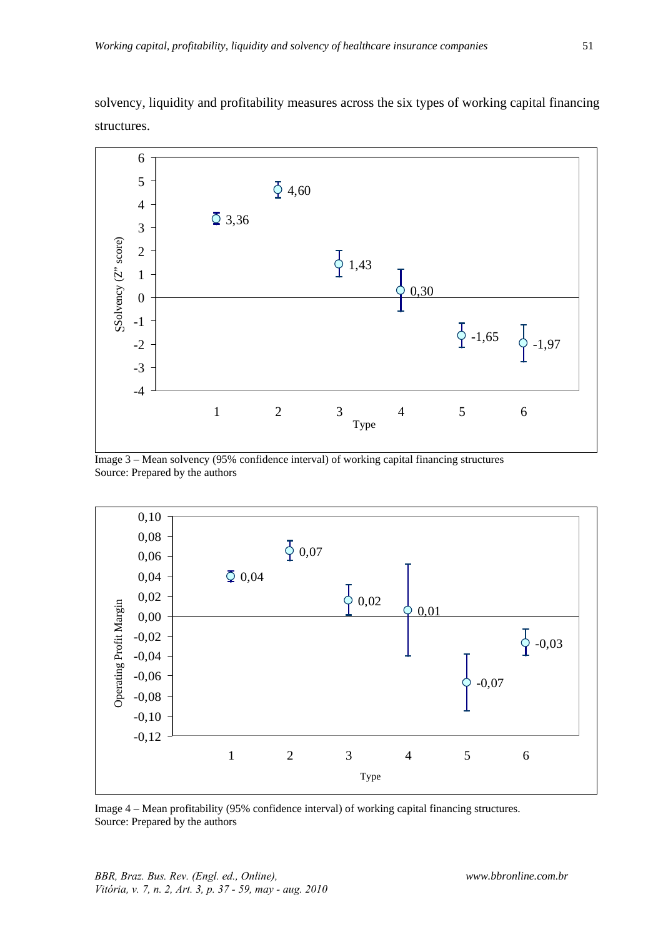

solvency, liquidity and profitability measures across the six types of working capital financing structures.

Image 3 – Mean solvency (95% confidence interval) of working capital financing structures Source: Prepared by the authors



Image 4 – Mean profitability (95% confidence interval) of working capital financing structures. Source: Prepared by the authors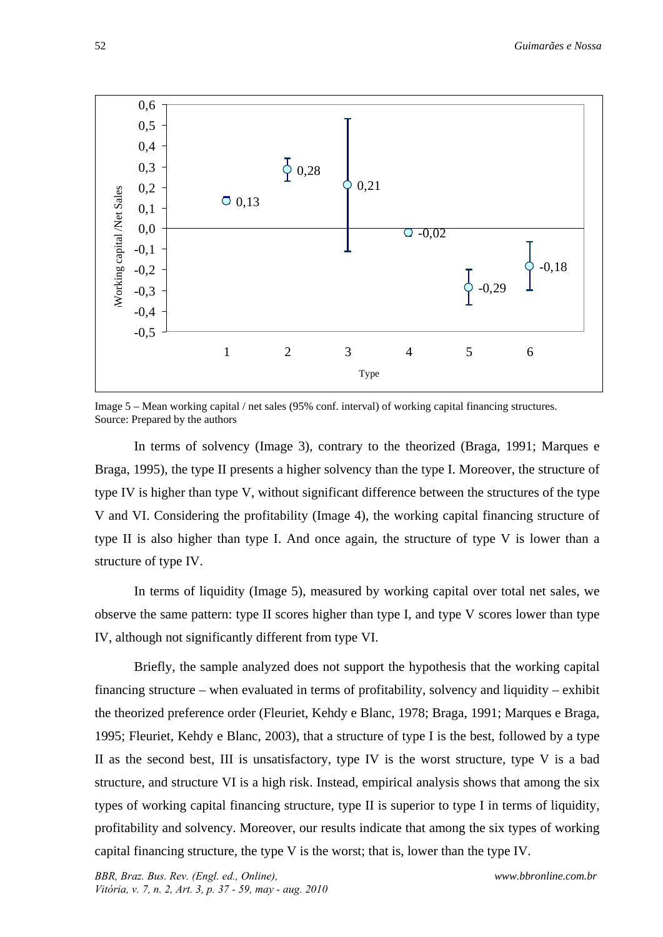

Image 5 – Mean working capital / net sales (95% conf. interval) of working capital financing structures. Source: Prepared by the authors

In terms of solvency (Image 3), contrary to the theorized (Braga, 1991; Marques e Braga, 1995), the type II presents a higher solvency than the type I. Moreover, the structure of type IV is higher than type V, without significant difference between the structures of the type V and VI. Considering the profitability (Image 4), the working capital financing structure of type II is also higher than type I. And once again, the structure of type V is lower than a structure of type IV.

In terms of liquidity (Image 5), measured by working capital over total net sales, we observe the same pattern: type II scores higher than type I, and type V scores lower than type IV, although not significantly different from type VI.

Briefly, the sample analyzed does not support the hypothesis that the working capital financing structure – when evaluated in terms of profitability, solvency and liquidity – exhibit the theorized preference order (Fleuriet, Kehdy e Blanc, 1978; Braga, 1991; Marques e Braga, 1995; Fleuriet, Kehdy e Blanc, 2003), that a structure of type I is the best, followed by a type II as the second best, III is unsatisfactory, type IV is the worst structure, type V is a bad structure, and structure VI is a high risk. Instead, empirical analysis shows that among the six types of working capital financing structure, type II is superior to type I in terms of liquidity, profitability and solvency. Moreover, our results indicate that among the six types of working capital financing structure, the type V is the worst; that is, lower than the type IV.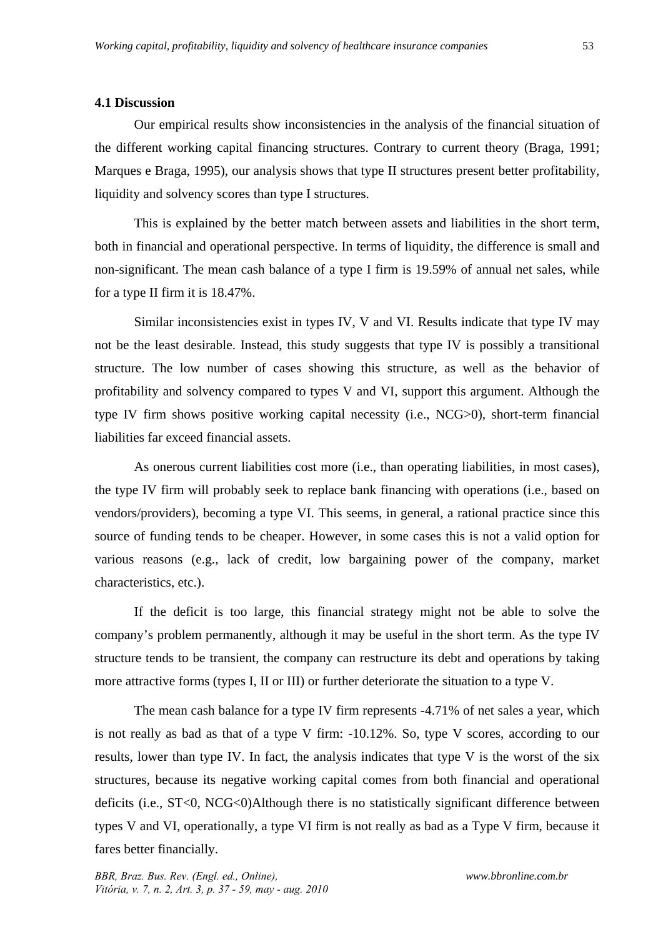#### **4.1 Discussion**

Our empirical results show inconsistencies in the analysis of the financial situation of the different working capital financing structures. Contrary to current theory (Braga, 1991; Marques e Braga, 1995), our analysis shows that type II structures present better profitability, liquidity and solvency scores than type I structures.

This is explained by the better match between assets and liabilities in the short term, both in financial and operational perspective. In terms of liquidity, the difference is small and non-significant. The mean cash balance of a type I firm is 19.59% of annual net sales, while for a type II firm it is 18.47%.

Similar inconsistencies exist in types IV, V and VI. Results indicate that type IV may not be the least desirable. Instead, this study suggests that type IV is possibly a transitional structure. The low number of cases showing this structure, as well as the behavior of profitability and solvency compared to types V and VI, support this argument. Although the type IV firm shows positive working capital necessity (i.e., NCG>0), short-term financial liabilities far exceed financial assets.

As onerous current liabilities cost more (i.e., than operating liabilities, in most cases), the type IV firm will probably seek to replace bank financing with operations (i.e., based on vendors/providers), becoming a type VI. This seems, in general, a rational practice since this source of funding tends to be cheaper. However, in some cases this is not a valid option for various reasons (e.g., lack of credit, low bargaining power of the company, market characteristics, etc.).

If the deficit is too large, this financial strategy might not be able to solve the company's problem permanently, although it may be useful in the short term. As the type IV structure tends to be transient, the company can restructure its debt and operations by taking more attractive forms (types I, II or III) or further deteriorate the situation to a type V.

The mean cash balance for a type IV firm represents -4.71% of net sales a year, which is not really as bad as that of a type V firm: -10.12%. So, type V scores, according to our results, lower than type IV. In fact, the analysis indicates that type V is the worst of the six structures, because its negative working capital comes from both financial and operational deficits (i.e., ST<0, NCG<0)Although there is no statistically significant difference between types V and VI, operationally, a type VI firm is not really as bad as a Type V firm, because it fares better financially.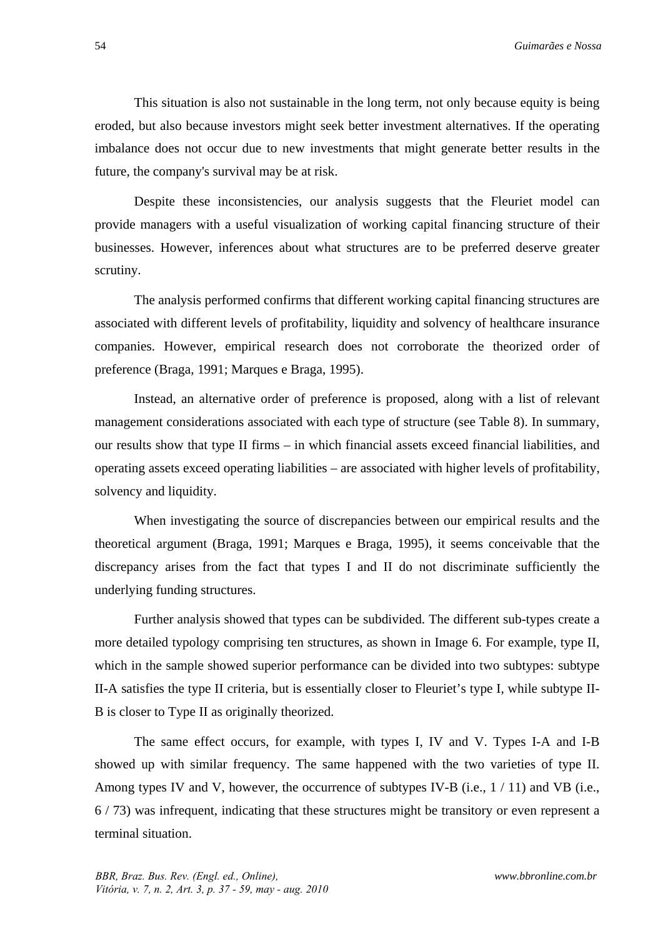This situation is also not sustainable in the long term, not only because equity is being eroded, but also because investors might seek better investment alternatives. If the operating imbalance does not occur due to new investments that might generate better results in the future, the company's survival may be at risk.

Despite these inconsistencies, our analysis suggests that the Fleuriet model can provide managers with a useful visualization of working capital financing structure of their businesses. However, inferences about what structures are to be preferred deserve greater scrutiny.

The analysis performed confirms that different working capital financing structures are associated with different levels of profitability, liquidity and solvency of healthcare insurance companies. However, empirical research does not corroborate the theorized order of preference (Braga, 1991; Marques e Braga, 1995).

Instead, an alternative order of preference is proposed, along with a list of relevant management considerations associated with each type of structure (see Table 8). In summary, our results show that type II firms – in which financial assets exceed financial liabilities, and operating assets exceed operating liabilities – are associated with higher levels of profitability, solvency and liquidity.

When investigating the source of discrepancies between our empirical results and the theoretical argument (Braga, 1991; Marques e Braga, 1995), it seems conceivable that the discrepancy arises from the fact that types I and II do not discriminate sufficiently the underlying funding structures.

Further analysis showed that types can be subdivided. The different sub-types create a more detailed typology comprising ten structures, as shown in Image 6. For example, type II, which in the sample showed superior performance can be divided into two subtypes: subtype II-A satisfies the type II criteria, but is essentially closer to Fleuriet's type I, while subtype II-B is closer to Type II as originally theorized.

The same effect occurs, for example, with types I, IV and V. Types I-A and I-B showed up with similar frequency. The same happened with the two varieties of type II. Among types IV and V, however, the occurrence of subtypes IV-B (i.e.,  $1/11$ ) and VB (i.e., 6 / 73) was infrequent, indicating that these structures might be transitory or even represent a terminal situation.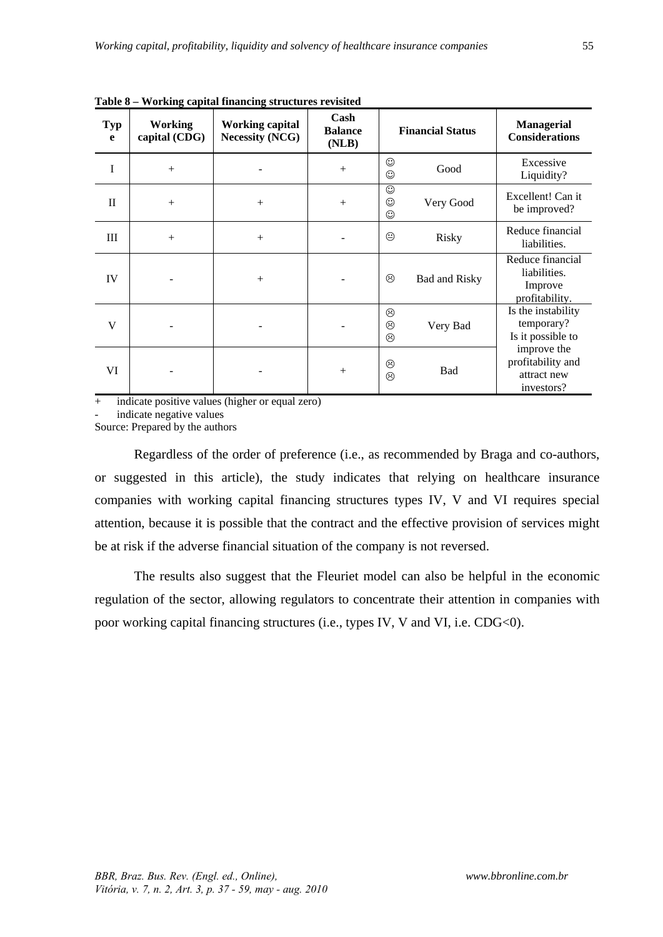| <b>Typ</b><br>e | <b>Working</b><br>capital (CDG) | <b>Working capital</b><br><b>Necessity (NCG)</b> | Cash<br><b>Balance</b><br>(NLB) | <b>Financial Status</b> |                      | <b>Managerial</b><br><b>Considerations</b>                    |
|-----------------|---------------------------------|--------------------------------------------------|---------------------------------|-------------------------|----------------------|---------------------------------------------------------------|
| I               | $+$                             |                                                  | $+$                             | ☺<br>☺                  | Good                 | Excessive<br>Liquidity?                                       |
| $\mathbf{I}$    | $+$                             | $+$                                              | $+$                             | ☺<br>☺<br>☺             | Very Good            | Excellent! Can it<br>be improved?                             |
| III             | $+$                             | $+$                                              |                                 | ☺                       | Risky                | Reduce financial<br>liabilities.                              |
| IV              |                                 | $+$                                              |                                 | ☺                       | <b>Bad and Risky</b> | Reduce financial<br>liabilities.<br>Improve<br>profitability. |
| V               |                                 |                                                  |                                 | ☺<br>☺<br>☺             | Very Bad             | Is the instability<br>temporary?<br>Is it possible to         |
| VI              |                                 |                                                  | $+$                             | ☺<br>☺                  | Bad                  | improve the<br>profitability and<br>attract new<br>investors? |

**Table 8 – Working capital financing structures revisited** 

+ indicate positive values (higher or equal zero)

indicate negative values

Source: Prepared by the authors

Regardless of the order of preference (i.e., as recommended by Braga and co-authors, or suggested in this article), the study indicates that relying on healthcare insurance companies with working capital financing structures types IV, V and VI requires special attention, because it is possible that the contract and the effective provision of services might be at risk if the adverse financial situation of the company is not reversed.

The results also suggest that the Fleuriet model can also be helpful in the economic regulation of the sector, allowing regulators to concentrate their attention in companies with poor working capital financing structures (i.e., types IV, V and VI, i.e. CDG<0).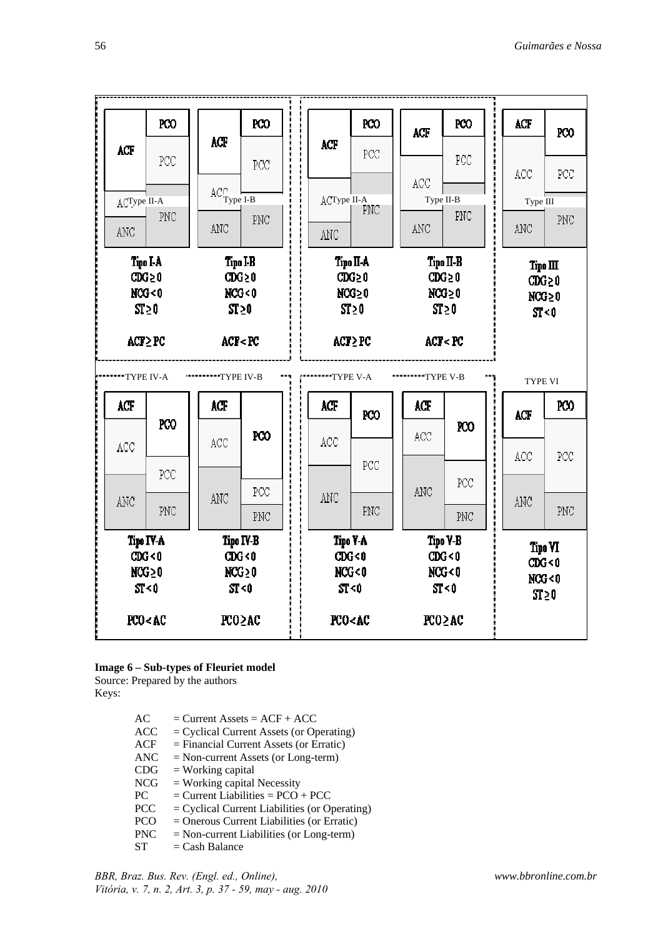|                                                                                                                                                            | PCO                                                                                                       |                                                                                                                                             | <b>PCO</b> |                                                          |                                                                                     | PCO                                      | ACF              | <b>PCO</b>                                                    | ACF        | PCO             |  |                                                            |
|------------------------------------------------------------------------------------------------------------------------------------------------------------|-----------------------------------------------------------------------------------------------------------|---------------------------------------------------------------------------------------------------------------------------------------------|------------|----------------------------------------------------------|-------------------------------------------------------------------------------------|------------------------------------------|------------------|---------------------------------------------------------------|------------|-----------------|--|------------------------------------------------------------|
| ACF                                                                                                                                                        | PCC                                                                                                       | ACF                                                                                                                                         | PCC        |                                                          | ACF                                                                                 | PCC                                      | ACC              | PCC                                                           | ACC        | PCC             |  |                                                            |
| ACType II-A<br>ANC                                                                                                                                         | PNC                                                                                                       | $\mathbb{AC}^\cap_{\mathbf{Type\ I\text{-}B}}$<br>ANC                                                                                       | PNC        |                                                          | ACType II-A<br>ANC                                                                  | PNC                                      | ANC              | Type II-B<br>PNC                                              | <b>ANC</b> | Type III<br>PNC |  |                                                            |
| Tipo I-A<br>$CDG \geq 0$<br>NCG < 0<br>$ST \geq 0$                                                                                                         |                                                                                                           | Tipo I-B<br>$CDG \geq 0$<br>NCG<0<br>$ST \geq 0$                                                                                            |            | Tipo II-A<br>$CDG \geq 0$<br>$NCS \geq 0$<br>$ST \geq 0$ |                                                                                     |                                          |                  | Tipo II-B<br>$CDG \geq 0$<br>$NCS \geq 0$<br>ST <sub>20</sub> |            |                 |  | Tipo $\mathbf H$<br>$CDG \geq 0$<br>$NCG \geq 0$<br>ST < 0 |
| $ACT \ge PC$                                                                                                                                               |                                                                                                           | ACF <pc< th=""><th></th><th></th><th colspan="2"><math>ACP \ge PC</math></th><th colspan="2">ACT<br/><br/> RCT</th><th></th><th></th></pc<> |            |                                                          | $ACP \ge PC$                                                                        |                                          | ACT<br><br>RCT   |                                                               |            |                 |  |                                                            |
| "TYPE IV-A                                                                                                                                                 |                                                                                                           | """"""""TYPE IV-B                                                                                                                           |            |                                                          |                                                                                     |                                          | <b></b> TYPE V-B |                                                               |            | TYPE VI         |  |                                                            |
| ACF                                                                                                                                                        |                                                                                                           | ACF                                                                                                                                         |            |                                                          | ACF                                                                                 | PCO                                      | ACF              |                                                               | ACF        | PCO             |  |                                                            |
| ACC                                                                                                                                                        | PCO<br>PCC                                                                                                | ACC                                                                                                                                         | PCO        |                                                          | ACC                                                                                 | PCC                                      | ACC              | <b>RCO</b>                                                    | ACC        | PCC             |  |                                                            |
| <b>ANC</b>                                                                                                                                                 | PNC                                                                                                       | ANC                                                                                                                                         | PCC<br>PNC |                                                          | ANC                                                                                 | PNC                                      | ANC              | PCC<br>PNC                                                    | <b>ANC</b> | PNC             |  |                                                            |
|                                                                                                                                                            | Tipo IV-B<br>Tipo IV-A<br>CDG < 0<br>CDG <sub>0</sub><br>$NCG \geq 0$<br>$NCS \geq 0$<br>ST < 0<br>ST < 0 |                                                                                                                                             |            | Tipo V-A<br>CDG < 0<br>NCG<0<br>ST < 0                   |                                                                                     | Tipo Y-B<br>CDG < 0<br>NCG < 0<br>ST < 0 |                  | Tipo VI<br>CDG < 0<br>NCG < 0<br>ST <sub>20</sub>             |            |                 |  |                                                            |
| PCO <ac< th=""><th></th><th>PCO≥AC</th><th></th><th></th><th>PCO<ac< th=""><th></th><th></th><th>PCO<sub>2</sub>AC</th><th></th><th></th></ac<></th></ac<> |                                                                                                           | PCO≥AC                                                                                                                                      |            |                                                          | PCO <ac< th=""><th></th><th></th><th>PCO<sub>2</sub>AC</th><th></th><th></th></ac<> |                                          |                  | PCO <sub>2</sub> AC                                           |            |                 |  |                                                            |

#### **Image 6 – Sub-types of Fleuriet model**

Source: Prepared by the authors

Keys:

| AC         | $=$ Current Assets $=$ ACF + ACC                |
|------------|-------------------------------------------------|
| <b>ACC</b> | $=$ Cyclical Current Assets (or Operating)      |
| <b>ACF</b> | $=$ Financial Current Assets (or Erratic)       |
| <b>ANC</b> | $=$ Non-current Assets (or Long-term)           |
| CDG        | $=$ Working capital                             |
| <b>NCG</b> | $=$ Working capital Necessity                   |
| PC.        | $=$ Current Liabilities $=$ PCO + PCC           |
| <b>PCC</b> | $=$ Cyclical Current Liabilities (or Operating) |
| <b>PCO</b> | $=$ Onerous Current Liabilities (or Erratic)    |
| <b>PNC</b> | $=$ Non-current Liabilities (or Long-term)      |
| SТ         | $=$ Cash Balance                                |

*BBR, Braz. Bus. Rev. (Engl. ed., Online), Vitória, v. 7, n. 2, Art. 3, p. 37 - 59, may - aug. 2010*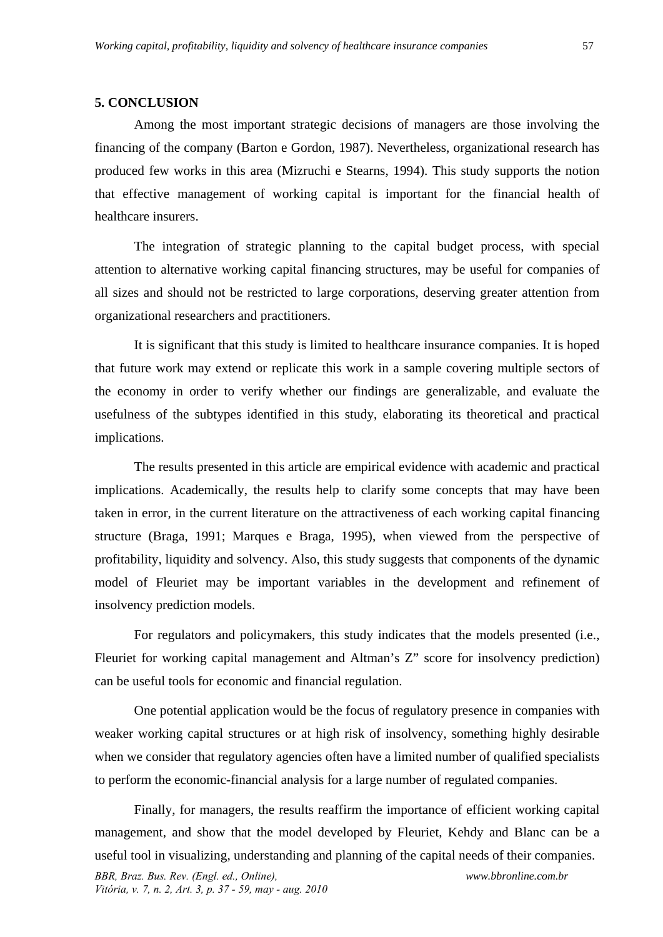#### **5. CONCLUSION**

Among the most important strategic decisions of managers are those involving the financing of the company (Barton e Gordon, 1987). Nevertheless, organizational research has produced few works in this area (Mizruchi e Stearns, 1994). This study supports the notion that effective management of working capital is important for the financial health of healthcare insurers.

The integration of strategic planning to the capital budget process, with special attention to alternative working capital financing structures, may be useful for companies of all sizes and should not be restricted to large corporations, deserving greater attention from organizational researchers and practitioners.

It is significant that this study is limited to healthcare insurance companies. It is hoped that future work may extend or replicate this work in a sample covering multiple sectors of the economy in order to verify whether our findings are generalizable, and evaluate the usefulness of the subtypes identified in this study, elaborating its theoretical and practical implications.

The results presented in this article are empirical evidence with academic and practical implications. Academically, the results help to clarify some concepts that may have been taken in error, in the current literature on the attractiveness of each working capital financing structure (Braga, 1991; Marques e Braga, 1995), when viewed from the perspective of profitability, liquidity and solvency. Also, this study suggests that components of the dynamic model of Fleuriet may be important variables in the development and refinement of insolvency prediction models.

For regulators and policymakers, this study indicates that the models presented (i.e., Fleuriet for working capital management and Altman's Z" score for insolvency prediction) can be useful tools for economic and financial regulation.

One potential application would be the focus of regulatory presence in companies with weaker working capital structures or at high risk of insolvency, something highly desirable when we consider that regulatory agencies often have a limited number of qualified specialists to perform the economic-financial analysis for a large number of regulated companies.

*BBR, Braz. Bus. Rev. (Engl. ed., Online), Vitória, v. 7, n. 2, Art. 3, p. 37 - 59, may - aug. 2010 www.bbronline.com.br*  Finally, for managers, the results reaffirm the importance of efficient working capital management, and show that the model developed by Fleuriet, Kehdy and Blanc can be a useful tool in visualizing, understanding and planning of the capital needs of their companies.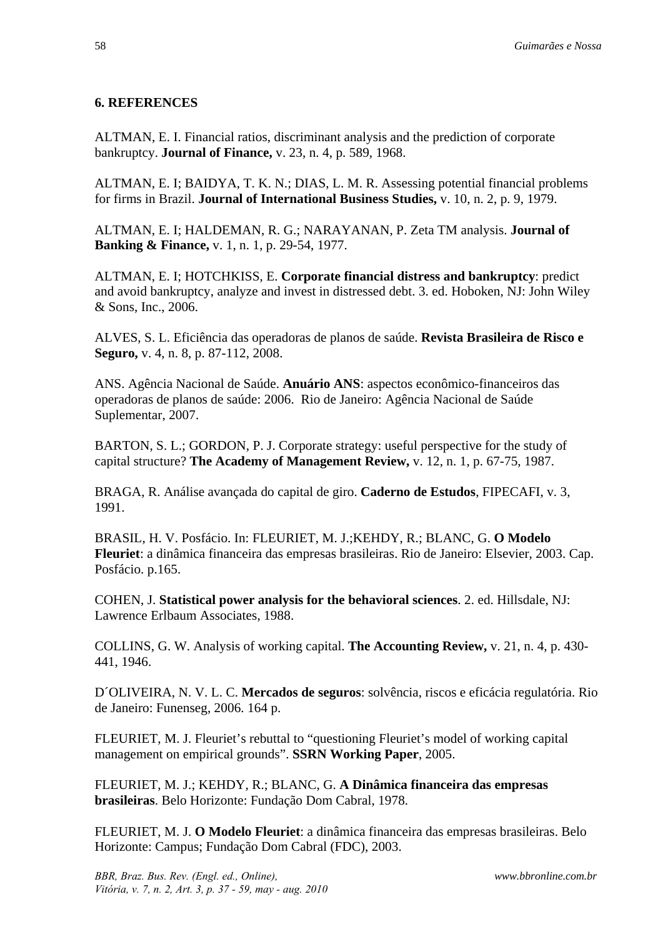# **6. REFERENCES**

ALTMAN, E. I. Financial ratios, discriminant analysis and the prediction of corporate bankruptcy. **Journal of Finance,** v. 23, n. 4, p. 589, 1968.

ALTMAN, E. I; BAIDYA, T. K. N.; DIAS, L. M. R. Assessing potential financial problems for firms in Brazil. **Journal of International Business Studies,** v. 10, n. 2, p. 9, 1979.

ALTMAN, E. I; HALDEMAN, R. G.; NARAYANAN, P. Zeta TM analysis. **Journal of Banking & Finance,** v. 1, n. 1, p. 29-54, 1977.

ALTMAN, E. I; HOTCHKISS, E. **Corporate financial distress and bankruptcy**: predict and avoid bankruptcy, analyze and invest in distressed debt. 3. ed. Hoboken, NJ: John Wiley & Sons, Inc., 2006.

ALVES, S. L. Eficiência das operadoras de planos de saúde. **Revista Brasileira de Risco e Seguro,** v. 4, n. 8, p. 87-112, 2008.

ANS. Agência Nacional de Saúde. **Anuário ANS**: aspectos econômico-financeiros das operadoras de planos de saúde: 2006. Rio de Janeiro: Agência Nacional de Saúde Suplementar, 2007.

BARTON, S. L.; GORDON, P. J. Corporate strategy: useful perspective for the study of capital structure? **The Academy of Management Review,** v. 12, n. 1, p. 67-75, 1987.

BRAGA, R. Análise avançada do capital de giro. **Caderno de Estudos**, FIPECAFI, v. 3, 1991.

BRASIL, H. V. Posfácio. In: FLEURIET, M. J.;KEHDY, R.; BLANC, G. **O Modelo Fleuriet**: a dinâmica financeira das empresas brasileiras. Rio de Janeiro: Elsevier, 2003. Cap. Posfácio. p.165.

COHEN, J. **Statistical power analysis for the behavioral sciences**. 2. ed. Hillsdale, NJ: Lawrence Erlbaum Associates, 1988.

COLLINS, G. W. Analysis of working capital. **The Accounting Review,** v. 21, n. 4, p. 430- 441, 1946.

D´OLIVEIRA, N. V. L. C. **Mercados de seguros**: solvência, riscos e eficácia regulatória. Rio de Janeiro: Funenseg, 2006. 164 p.

FLEURIET, M. J. Fleuriet's rebuttal to "questioning Fleuriet's model of working capital management on empirical grounds". **SSRN Working Paper**, 2005.

FLEURIET, M. J.; KEHDY, R.; BLANC, G. **A Dinâmica financeira das empresas brasileiras**. Belo Horizonte: Fundação Dom Cabral, 1978.

FLEURIET, M. J. **O Modelo Fleuriet**: a dinâmica financeira das empresas brasileiras. Belo Horizonte: Campus; Fundação Dom Cabral (FDC), 2003.